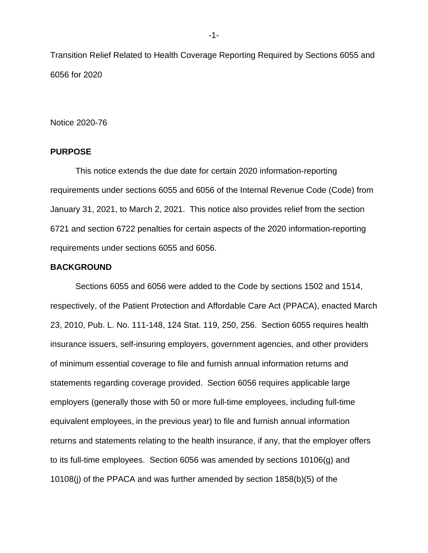Transition Relief Related to Health Coverage Reporting Required by Sections 6055 and 6056 for 2020

Notice 2020-76

# **PURPOSE**

This notice extends the due date for certain 2020 information-reporting requirements under sections 6055 and 6056 of the Internal Revenue Code (Code) from January 31, 2021, to March 2, 2021. This notice also provides relief from the section 6721 and section 6722 penalties for certain aspects of the 2020 information-reporting requirements under sections 6055 and 6056.

## **BACKGROUND**

Sections 6055 and 6056 were added to the Code by sections 1502 and 1514, respectively, of the Patient Protection and Affordable Care Act (PPACA), enacted March 23, 2010, Pub. L. No. 111-148, 124 Stat. 119, 250, 256. Section 6055 requires health insurance issuers, self-insuring employers, government agencies, and other providers of minimum essential coverage to file and furnish annual information returns and statements regarding coverage provided. Section 6056 requires applicable large employers (generally those with 50 or more full-time employees, including full-time equivalent employees, in the previous year) to file and furnish annual information returns and statements relating to the health insurance, if any, that the employer offers to its full-time employees. Section 6056 was amended by sections 10106(g) and 10108(j) of the PPACA and was further amended by section 1858(b)(5) of the

-1-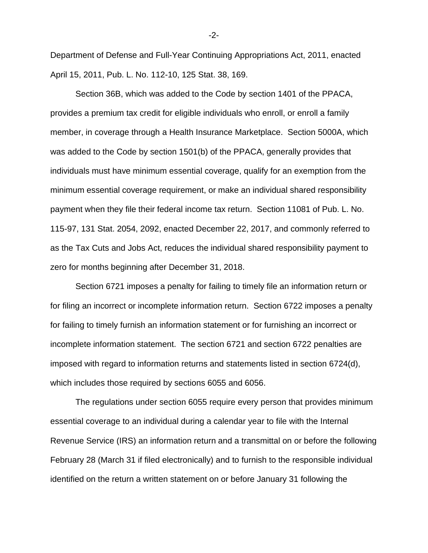Department of Defense and Full-Year Continuing Appropriations Act, 2011, enacted April 15, 2011, Pub. L. No. 112-10, 125 Stat. 38, 169.

Section 36B, which was added to the Code by section 1401 of the PPACA, provides a premium tax credit for eligible individuals who enroll, or enroll a family member, in coverage through a Health Insurance Marketplace. Section 5000A, which was added to the Code by section 1501(b) of the PPACA, generally provides that individuals must have minimum essential coverage, qualify for an exemption from the minimum essential coverage requirement, or make an individual shared responsibility payment when they file their federal income tax return. Section 11081 of Pub. L. No. 115-97, 131 Stat. 2054, 2092, enacted December 22, 2017, and commonly referred to as the Tax Cuts and Jobs Act, reduces the individual shared responsibility payment to zero for months beginning after December 31, 2018.

Section 6721 imposes a penalty for failing to timely file an information return or for filing an incorrect or incomplete information return. Section 6722 imposes a penalty for failing to timely furnish an information statement or for furnishing an incorrect or incomplete information statement. The section 6721 and section 6722 penalties are imposed with regard to information returns and statements listed in section 6724(d), which includes those required by sections 6055 and 6056.

The regulations under section 6055 require every person that provides minimum essential coverage to an individual during a calendar year to file with the Internal Revenue Service (IRS) an information return and a transmittal on or before the following February 28 (March 31 if filed electronically) and to furnish to the responsible individual identified on the return a written statement on or before January 31 following the

-2-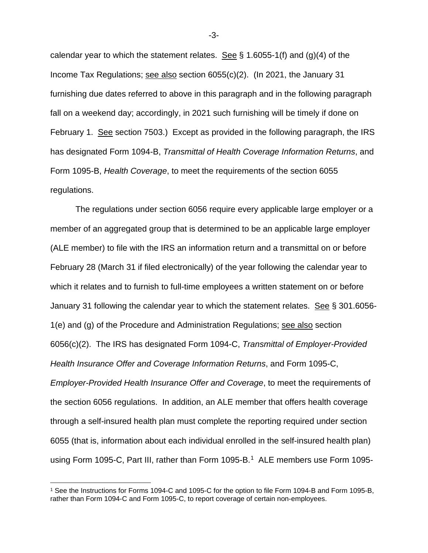calendar year to which the statement relates. See  $\S$  1.6055-1(f) and (g)(4) of the Income Tax Regulations; see also section 6055(c)(2). (In 2021, the January 31 furnishing due dates referred to above in this paragraph and in the following paragraph fall on a weekend day; accordingly, in 2021 such furnishing will be timely if done on February 1. See section 7503.) Except as provided in the following paragraph, the IRS has designated Form 1094-B, *Transmittal of Health Coverage Information Returns*, and Form 1095-B, *Health Coverage*, to meet the requirements of the section 6055 regulations.

The regulations under section 6056 require every applicable large employer or a member of an aggregated group that is determined to be an applicable large employer (ALE member) to file with the IRS an information return and a transmittal on or before February 28 (March 31 if filed electronically) of the year following the calendar year to which it relates and to furnish to full-time employees a written statement on or before January 31 following the calendar year to which the statement relates. See § 301.6056- 1(e) and (g) of the Procedure and Administration Regulations; see also section 6056(c)(2). The IRS has designated Form 1094-C, *Transmittal of Employer-Provided Health Insurance Offer and Coverage Information Returns*, and Form 1095-C, *Employer-Provided Health Insurance Offer and Coverage*, to meet the requirements of the section 6056 regulations. In addition, an ALE member that offers health coverage through a self-insured health plan must complete the reporting required under section 6055 (that is, information about each individual enrolled in the self-insured health plan) using Form [1](#page-2-0)095-C, Part III, rather than Form 1095-B.<sup>1</sup> ALE members use Form 1095-

-3-

<span id="page-2-0"></span><sup>1</sup> See the Instructions for Forms 1094-C and 1095-C for the option to file Form 1094-B and Form 1095-B, rather than Form 1094-C and Form 1095-C, to report coverage of certain non-employees.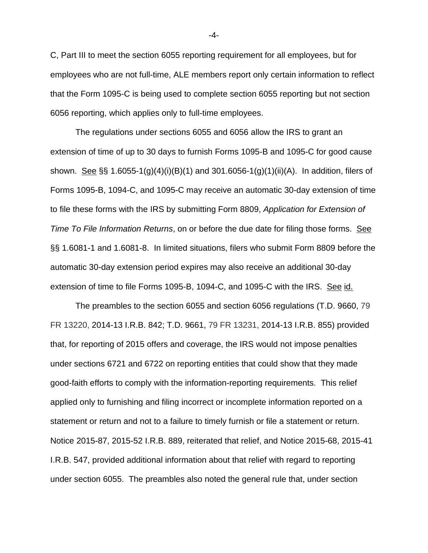C, Part III to meet the section 6055 reporting requirement for all employees, but for employees who are not full-time, ALE members report only certain information to reflect that the Form 1095-C is being used to complete section 6055 reporting but not section 6056 reporting, which applies only to full-time employees.

The regulations under sections 6055 and 6056 allow the IRS to grant an extension of time of up to 30 days to furnish Forms 1095-B and 1095-C for good cause shown. See §§ 1.6055-1(g)(4)(i)(B)(1) and 301.6056-1(g)(1)(ii)(A). In addition, filers of Forms 1095-B, 1094-C, and 1095-C may receive an automatic 30-day extension of time to file these forms with the IRS by submitting Form 8809, *Application for Extension of Time To File Information Returns*, on or before the due date for filing those forms. See §§ 1.6081-1 and 1.6081-8. In limited situations, filers who submit Form 8809 before the automatic 30-day extension period expires may also receive an additional 30-day extension of time to file Forms 1095-B, 1094-C, and 1095-C with the IRS. See id.

The preambles to the section 6055 and section 6056 regulations (T.D. 9660, 79 FR 13220, 2014-13 I.R.B. 842; T.D. 9661, 79 FR 13231, 2014-13 I.R.B. 855) provided that, for reporting of 2015 offers and coverage, the IRS would not impose penalties under sections 6721 and 6722 on reporting entities that could show that they made good-faith efforts to comply with the information-reporting requirements. This relief applied only to furnishing and filing incorrect or incomplete information reported on a statement or return and not to a failure to timely furnish or file a statement or return. Notice 2015-87, 2015-52 I.R.B. 889, reiterated that relief, and Notice 2015-68, 2015-41 I.R.B. 547, provided additional information about that relief with regard to reporting under section 6055. The preambles also noted the general rule that, under section

-4-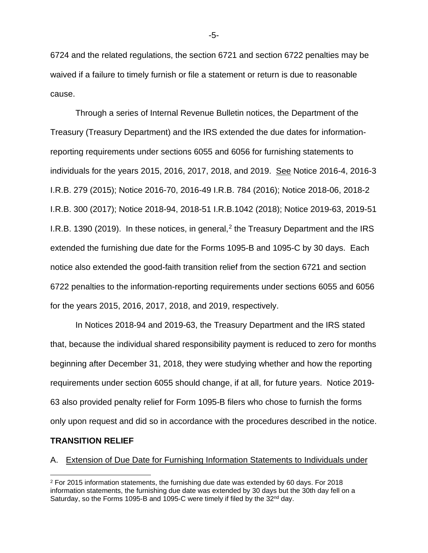6724 and the related regulations, the section 6721 and section 6722 penalties may be waived if a failure to timely furnish or file a statement or return is due to reasonable cause.

Through a series of Internal Revenue Bulletin notices, the Department of the Treasury (Treasury Department) and the IRS extended the due dates for informationreporting requirements under sections 6055 and 6056 for furnishing statements to individuals for the years 2015, 2016, 2017, 2018, and 2019. See Notice 2016-4, 2016-3 I.R.B. 279 (2015); Notice 2016-70, 2016-49 I.R.B. 784 (2016); Notice 2018-06, 2018-2 I.R.B. 300 (2017); Notice 2018-94, 2018-51 I.R.B.1042 (2018); Notice 2019-63, 2019-51 I.R.B. 1390 ([2](#page-4-0)019). In these notices, in general,<sup>2</sup> the Treasury Department and the IRS extended the furnishing due date for the Forms 1095-B and 1095-C by 30 days. Each notice also extended the good-faith transition relief from the section 6721 and section 6722 penalties to the information-reporting requirements under sections 6055 and 6056 for the years 2015, 2016, 2017, 2018, and 2019, respectively.

In Notices 2018-94 and 2019-63, the Treasury Department and the IRS stated that, because the individual shared responsibility payment is reduced to zero for months beginning after December 31, 2018, they were studying whether and how the reporting requirements under section 6055 should change, if at all, for future years. Notice 2019- 63 also provided penalty relief for Form 1095-B filers who chose to furnish the forms only upon request and did so in accordance with the procedures described in the notice.

# **TRANSITION RELIEF**

#### A. Extension of Due Date for Furnishing Information Statements to Individuals under

-5-

<span id="page-4-0"></span> $2$  For 2015 information statements, the furnishing due date was extended by 60 days. For 2018 information statements, the furnishing due date was extended by 30 days but the 30th day fell on a Saturday, so the Forms 1095-B and 1095-C were timely if filed by the 32<sup>nd</sup> day.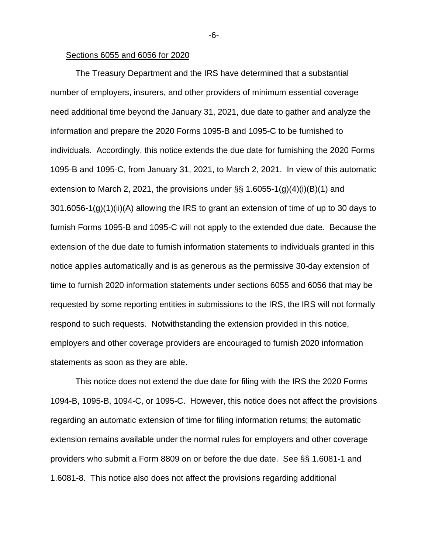#### Sections 6055 and 6056 for 2020

The Treasury Department and the IRS have determined that a substantial number of employers, insurers, and other providers of minimum essential coverage need additional time beyond the January 31, 2021, due date to gather and analyze the information and prepare the 2020 Forms 1095-B and 1095-C to be furnished to individuals. Accordingly, this notice extends the due date for furnishing the 2020 Forms 1095-B and 1095-C, from January 31, 2021, to March 2, 2021. In view of this automatic extension to March 2, 2021, the provisions under  $\S$ § 1.6055-1(g)(4)(i)(B)(1) and 301.6056-1(g)(1)(ii)(A) allowing the IRS to grant an extension of time of up to 30 days to furnish Forms 1095-B and 1095-C will not apply to the extended due date. Because the extension of the due date to furnish information statements to individuals granted in this notice applies automatically and is as generous as the permissive 30-day extension of time to furnish 2020 information statements under sections 6055 and 6056 that may be requested by some reporting entities in submissions to the IRS, the IRS will not formally respond to such requests. Notwithstanding the extension provided in this notice, employers and other coverage providers are encouraged to furnish 2020 information statements as soon as they are able.

This notice does not extend the due date for filing with the IRS the 2020 Forms 1094-B, 1095-B, 1094-C, or 1095-C. However, this notice does not affect the provisions regarding an automatic extension of time for filing information returns; the automatic extension remains available under the normal rules for employers and other coverage providers who submit a Form 8809 on or before the due date. See §§ 1.6081-1 and 1.6081-8. This notice also does not affect the provisions regarding additional

-6-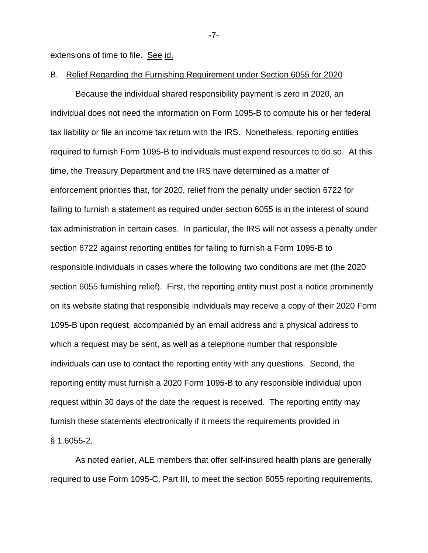extensions of time to file. See id.

#### B. Relief Regarding the Furnishing Requirement under Section 6055 for 2020

Because the individual shared responsibility payment is zero in 2020, an individual does not need the information on Form 1095-B to compute his or her federal tax liability or file an income tax return with the IRS. Nonetheless, reporting entities required to furnish Form 1095-B to individuals must expend resources to do so. At this time, the Treasury Department and the IRS have determined as a matter of enforcement priorities that, for 2020, relief from the penalty under section 6722 for failing to furnish a statement as required under section 6055 is in the interest of sound tax administration in certain cases. In particular, the IRS will not assess a penalty under section 6722 against reporting entities for failing to furnish a Form 1095-B to responsible individuals in cases where the following two conditions are met (the 2020 section 6055 furnishing relief). First, the reporting entity must post a notice prominently on its website stating that responsible individuals may receive a copy of their 2020 Form 1095-B upon request, accompanied by an email address and a physical address to which a request may be sent, as well as a telephone number that responsible individuals can use to contact the reporting entity with any questions. Second, the reporting entity must furnish a 2020 Form 1095-B to any responsible individual upon request within 30 days of the date the request is received. The reporting entity may furnish these statements electronically if it meets the requirements provided in § 1.6055-2.

As noted earlier, ALE members that offer self-insured health plans are generally required to use Form 1095-C, Part III, to meet the section 6055 reporting requirements,

-7-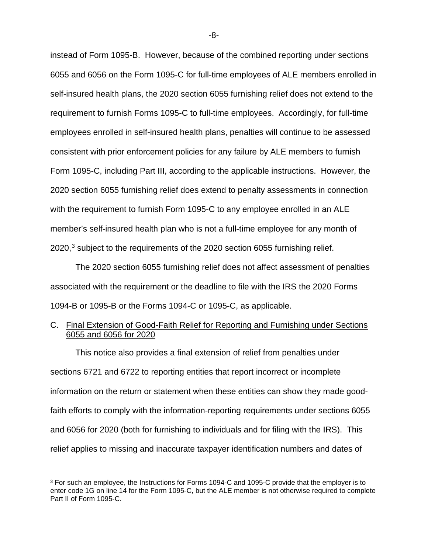instead of Form 1095-B. However, because of the combined reporting under sections 6055 and 6056 on the Form 1095-C for full-time employees of ALE members enrolled in self-insured health plans, the 2020 section 6055 furnishing relief does not extend to the requirement to furnish Forms 1095-C to full-time employees. Accordingly, for full-time employees enrolled in self-insured health plans, penalties will continue to be assessed consistent with prior enforcement policies for any failure by ALE members to furnish Form 1095-C, including Part III, according to the applicable instructions. However, the 2020 section 6055 furnishing relief does extend to penalty assessments in connection with the requirement to furnish Form 1095-C to any employee enrolled in an ALE member's self-insured health plan who is not a full-time employee for any month of  $2020$ ,<sup>[3](#page-7-0)</sup> subject to the requirements of the 2020 section 6055 furnishing relief.

The 2020 section 6055 furnishing relief does not affect assessment of penalties associated with the requirement or the deadline to file with the IRS the 2020 Forms 1094-B or 1095-B or the Forms 1094-C or 1095-C, as applicable.

# C. Final Extension of Good-Faith Relief for Reporting and Furnishing under Sections 6055 and 6056 for 2020

This notice also provides a final extension of relief from penalties under sections 6721 and 6722 to reporting entities that report incorrect or incomplete information on the return or statement when these entities can show they made goodfaith efforts to comply with the information-reporting requirements under sections 6055 and 6056 for 2020 (both for furnishing to individuals and for filing with the IRS). This relief applies to missing and inaccurate taxpayer identification numbers and dates of

-8-

<span id="page-7-0"></span><sup>&</sup>lt;sup>3</sup> For such an employee, the Instructions for Forms 1094-C and 1095-C provide that the employer is to enter code 1G on line 14 for the Form 1095-C, but the ALE member is not otherwise required to complete Part II of Form 1095-C.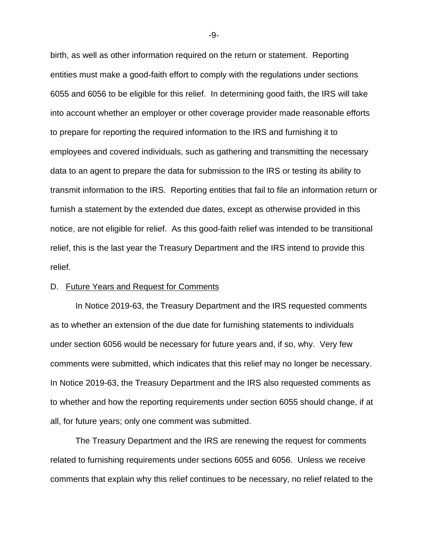birth, as well as other information required on the return or statement. Reporting entities must make a good-faith effort to comply with the regulations under sections 6055 and 6056 to be eligible for this relief. In determining good faith, the IRS will take into account whether an employer or other coverage provider made reasonable efforts to prepare for reporting the required information to the IRS and furnishing it to employees and covered individuals, such as gathering and transmitting the necessary data to an agent to prepare the data for submission to the IRS or testing its ability to transmit information to the IRS. Reporting entities that fail to file an information return or furnish a statement by the extended due dates, except as otherwise provided in this notice, are not eligible for relief. As this good-faith relief was intended to be transitional relief, this is the last year the Treasury Department and the IRS intend to provide this relief.

# D. Future Years and Request for Comments

In Notice 2019-63, the Treasury Department and the IRS requested comments as to whether an extension of the due date for furnishing statements to individuals under section 6056 would be necessary for future years and, if so, why. Very few comments were submitted, which indicates that this relief may no longer be necessary. In Notice 2019-63, the Treasury Department and the IRS also requested comments as to whether and how the reporting requirements under section 6055 should change, if at all, for future years; only one comment was submitted.

The Treasury Department and the IRS are renewing the request for comments related to furnishing requirements under sections 6055 and 6056. Unless we receive comments that explain why this relief continues to be necessary, no relief related to the

-9-